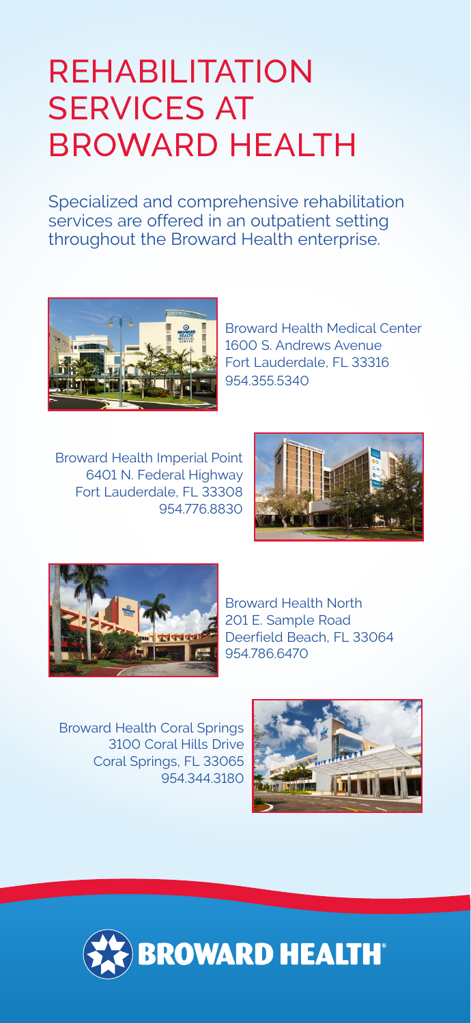## REHABILITATION SERVICES AT BROWARD HEALTH

Specialized and comprehensive rehabilitation services are offered in an outpatient setting throughout the Broward Health enterprise.



Broward Health Medical Center 1600 S. Andrews Avenue Fort Lauderdale, FL 33316 954.355.5340

Broward Health Imperial Point 6401 N. Federal Highway Fort Lauderdale, FL 33308 954.776.8830





Broward Health North 201 E. Sample Road Deerfield Beach, FL 33064 954.786.6470

Broward Health Coral Springs 3100 Coral Hills Drive Coral Springs, FL 33065 954.344.3180